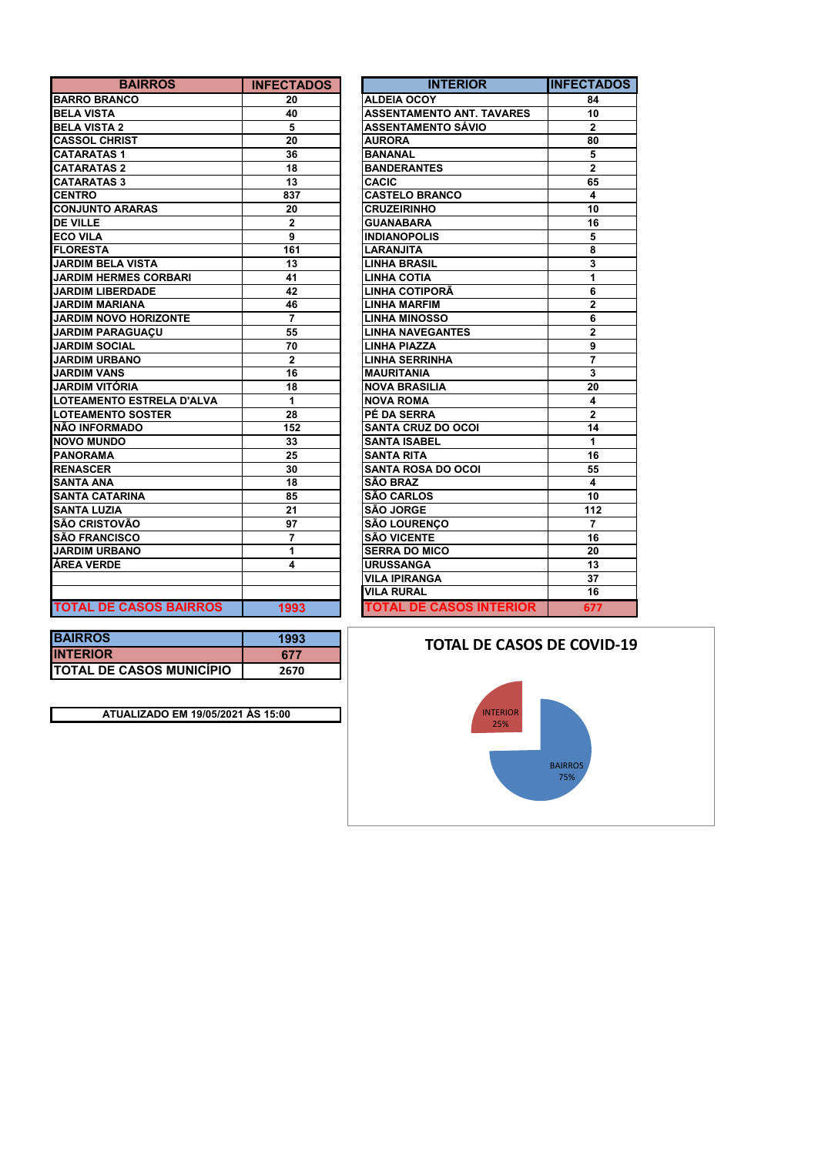| <b>BAIRROS</b>                | <b>INFECTADOS</b> | <b>INTERIOR</b>                  | <b>INFECTA</b>          |
|-------------------------------|-------------------|----------------------------------|-------------------------|
| <b>BARRO BRANCO</b>           | 20                | <b>ALDEIA OCOY</b>               | 84                      |
| <b>BELA VISTA</b>             | 40                | <b>ASSENTAMENTO ANT. TAVARES</b> | 10                      |
| <b>BELA VISTA 2</b>           | 5                 | ASSENTAMENTO SÁVIO               | $\mathbf{2}$            |
| <b>CASSOL CHRIST</b>          | 20                | <b>AURORA</b>                    | 80                      |
| <b>CATARATAS1</b>             | 36                | <b>BANANAL</b>                   | 5                       |
| <b>CATARATAS 2</b>            | 18                | <b>BANDERANTES</b>               | $\overline{2}$          |
| <b>CATARATAS 3</b>            | 13                | <b>CACIC</b>                     | 65                      |
| <b>CENTRO</b>                 | 837               | <b>CASTELO BRANCO</b>            | 4                       |
| <b>CONJUNTO ARARAS</b>        | 20                | <b>CRUZEIRINHO</b>               | 10                      |
| <b>DE VILLE</b>               | $\mathbf{2}$      | <b>GUANABARA</b>                 | 16                      |
| <b>ECO VILA</b>               | 9                 | <b>INDIANOPOLIS</b>              | 5                       |
| <b>FLORESTA</b>               | 161               | LARANJITA                        | 8                       |
| <b>JARDIM BELA VISTA</b>      | 13                | <b>LINHA BRASIL</b>              | 3                       |
| <b>JARDIM HERMES CORBARI</b>  | 41                | <b>LINHA COTIA</b>               | 1                       |
| <b>JARDIM LIBERDADE</b>       | 42                | LINHA COTIPORÃ                   | 6                       |
| <b>JARDIM MARIANA</b>         | 46                | <b>LINHA MARFIM</b>              | $\mathbf 2$             |
| <b>JARDIM NOVO HORIZONTE</b>  | $\overline{7}$    | <b>LINHA MINOSSO</b>             | 6                       |
| <b>JARDIM PARAGUACU</b>       | 55                | <b>LINHA NAVEGANTES</b>          | $\mathbf 2$             |
| <b>JARDIM SOCIAL</b>          | 70                | <b>LINHA PIAZZA</b>              | 9                       |
| <b>JARDIM URBANO</b>          | $\mathbf{2}$      | <b>LINHA SERRINHA</b>            | $\overline{7}$          |
| <b>JARDIM VANS</b>            | 16                | <b>MAURITANIA</b>                | 3                       |
| JARDIM VITÓRIA                | 18                | <b>NOVA BRASILIA</b>             | 20                      |
| LOTEAMENTO ESTRELA D'ALVA     | 1                 | <b>NOVA ROMA</b>                 | 4                       |
| <b>LOTEAMENTO SOSTER</b>      | 28                | PÉ DA SERRA                      | $\overline{2}$          |
| NÃO INFORMADO                 | 152               | <b>SANTA CRUZ DO OCOI</b>        | 14                      |
| <b>NOVO MUNDO</b>             | 33                | <b>SANTA ISABEL</b>              | 1                       |
| <b>PANORAMA</b>               | 25                | <b>SANTA RITA</b>                | 16                      |
| <b>RENASCER</b>               | 30                | <b>SANTA ROSA DO OCOI</b>        | 55                      |
| <b>SANTA ANA</b>              | 18                | <b>SÃO BRAZ</b>                  | $\overline{\mathbf{4}}$ |
| <b>SANTA CATARINA</b>         | 85                | <b>SÃO CARLOS</b>                | 10                      |
| <b>SANTA LUZIA</b>            | 21                | SÃO JORGE                        | 112                     |
| <b>SÃO CRISTOVÃO</b>          | 97                | <b>SÃO LOURENCO</b>              | $\overline{7}$          |
| <b>SÃO FRANCISCO</b>          | 7                 | <b>SÃO VICENTE</b>               | 16                      |
| <b>JARDIM URBANO</b>          | 1                 | <b>SERRA DO MICO</b>             | 20                      |
| ÁREA VERDE                    | 4                 | <b>URUSSANGA</b>                 | 13                      |
|                               |                   | <b>VILA IPIRANGA</b>             | 37                      |
|                               |                   | <b>VILA RURAL</b>                | 16                      |
| <b>TOTAL DE CASOS BAIRROS</b> | 1993              | <b>TOTAL DE CASOS INTERIOR</b>   | 677                     |

| <b>BAIRROS</b>          | <b>INFECTADOS</b> | <b>INTERIOR</b>                  | <b>INFECTADOS</b>       |
|-------------------------|-------------------|----------------------------------|-------------------------|
| ŃСО                     | 20                | <b>ALDEIA OCOY</b>               | 84                      |
|                         | 40                | <b>ASSENTAMENTO ANT. TAVARES</b> | 10                      |
| $\overline{a}$          | 5                 | <b>ASSENTAMENTO SÁVIO</b>        | $\mathbf{2}$            |
| <b>IST</b>              | 20                | <b>AURORA</b>                    | 80                      |
| 1                       | 36                | <b>BANANAL</b>                   | 5                       |
| 2                       | 18                | <b>BANDERANTES</b>               | $\overline{2}$          |
| 3                       | 13                | <b>CACIC</b>                     | 65                      |
|                         | 837               | <b>CASTELO BRANCO</b>            | 4                       |
| RARAS                   | 20                | <b>CRUZEIRINHO</b>               | 10                      |
|                         | $\mathbf{2}$      | <b>GUANABARA</b>                 | 16                      |
|                         | 9                 | <b>INDIANOPOLIS</b>              | 5                       |
|                         | 161               | <b>LARANJITA</b>                 | 8                       |
| A VISTA                 | 13                | <b>LINHA BRASIL</b>              | 3                       |
| <b>MES CORBARI</b>      | 41                | <b>LINHA COTIA</b>               | 1                       |
| <b>RDADE</b>            | 42                | LINHA COTIPORÃ                   | 6                       |
| <b>IANA</b>             | 46                | <b>LINHA MARFIM</b>              | $\overline{2}$          |
| O HORIZONTE             | $\overline{7}$    | <b>LINHA MINOSSO</b>             | 6                       |
| <b>AGUACU</b>           | 55                | <b>LINHA NAVEGANTES</b>          | $\overline{2}$          |
| IAL                     | 70                | <b>LINHA PIAZZA</b>              | 9                       |
| ANO                     | $\mathbf{2}$      | <b>LINHA SERRINHA</b>            | $\overline{7}$          |
| s                       | 16                | <b>MAURITANIA</b>                | 3                       |
| <b>RIA</b>              | 18                | <b>NOVA BRASILIA</b>             | 20                      |
| <b>O ESTRELA D'ALVA</b> | $\overline{1}$    | <b>NOVA ROMA</b>                 | $\overline{\mathbf{4}}$ |
| <b>O SOSTER</b>         | 28                | PÉ DA SERRA                      | $\overline{2}$          |
| <b>ADO</b>              | 152               | <b>SANTA CRUZ DO OCOI</b>        | 14                      |
| o                       | 33                | <b>SANTA ISABEL</b>              | 1                       |
|                         | 25                | <b>SANTA RITA</b>                | 16                      |
|                         | 30                | <b>SANTA ROSA DO OCOI</b>        | 55                      |
|                         | 18                | <b>SÃO BRAZ</b>                  | 4                       |
| <b>RINA</b>             | 85                | <b>SÃO CARLOS</b>                | 10                      |
|                         | 21                | <b>SÃO JORGE</b>                 | 112                     |
| VÃO                     | 97                | <b>SÃO LOURENÇO</b>              | $\overline{7}$          |
| sco                     | $\overline{7}$    | <b>SÃO VICENTE</b>               | 16                      |
| ANO                     | 1                 | <b>SERRA DO MICO</b>             | 20                      |
|                         | 4                 | <b>URUSSANGA</b>                 | 13                      |
|                         |                   | <b>VILA IPIRANGA</b>             | 37                      |
|                         |                   | <b>VILA RURAL</b>                | 16                      |
| <b>CASOS BAIRROS</b>    | 1993              | <b>TOTAL DE CASOS INTERIOR</b>   | 677                     |

| <b>BAIRROS</b>                  | 1993 |
|---------------------------------|------|
| <b>INTERIOR</b>                 | 677  |
| <b>TOTAL DE CASOS MUNICÍPIO</b> | 2670 |
|                                 |      |

**ATUALIZADO EM 19/05/2021 ÀS 15:00**

## **TOTAL DE CASOS DE COVID-19**

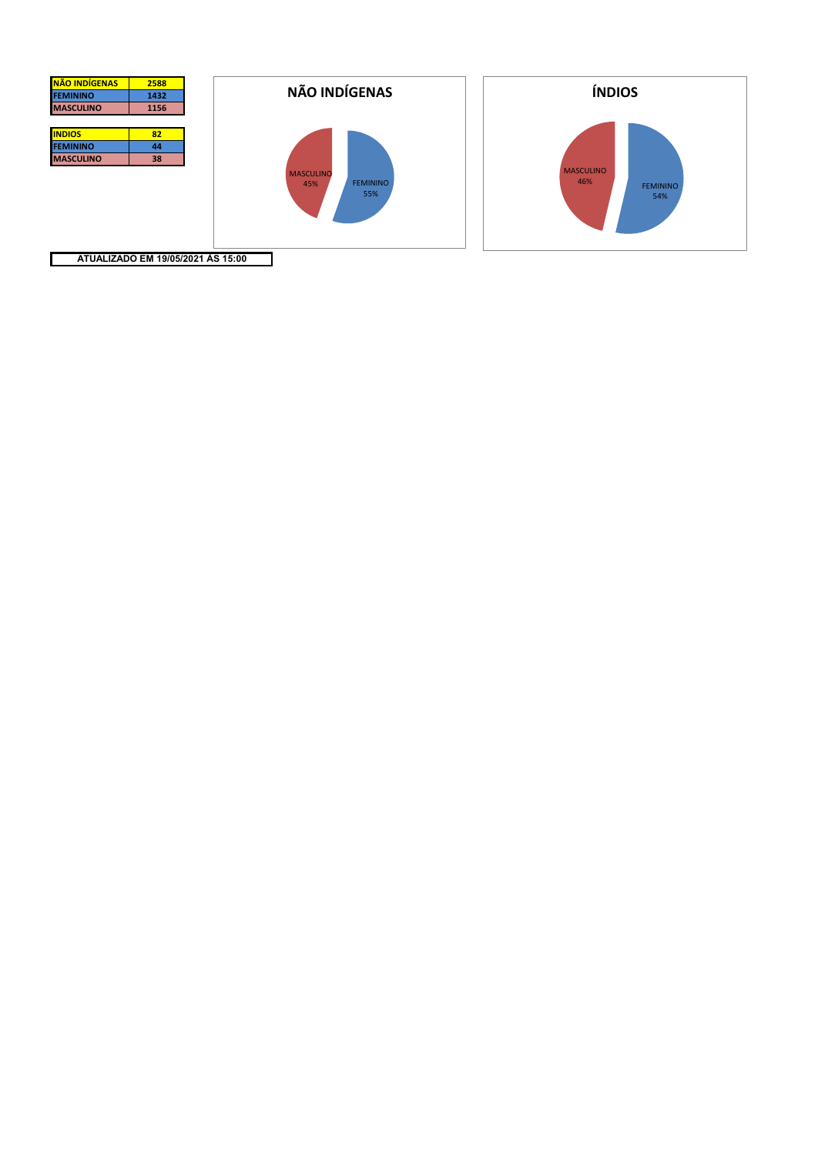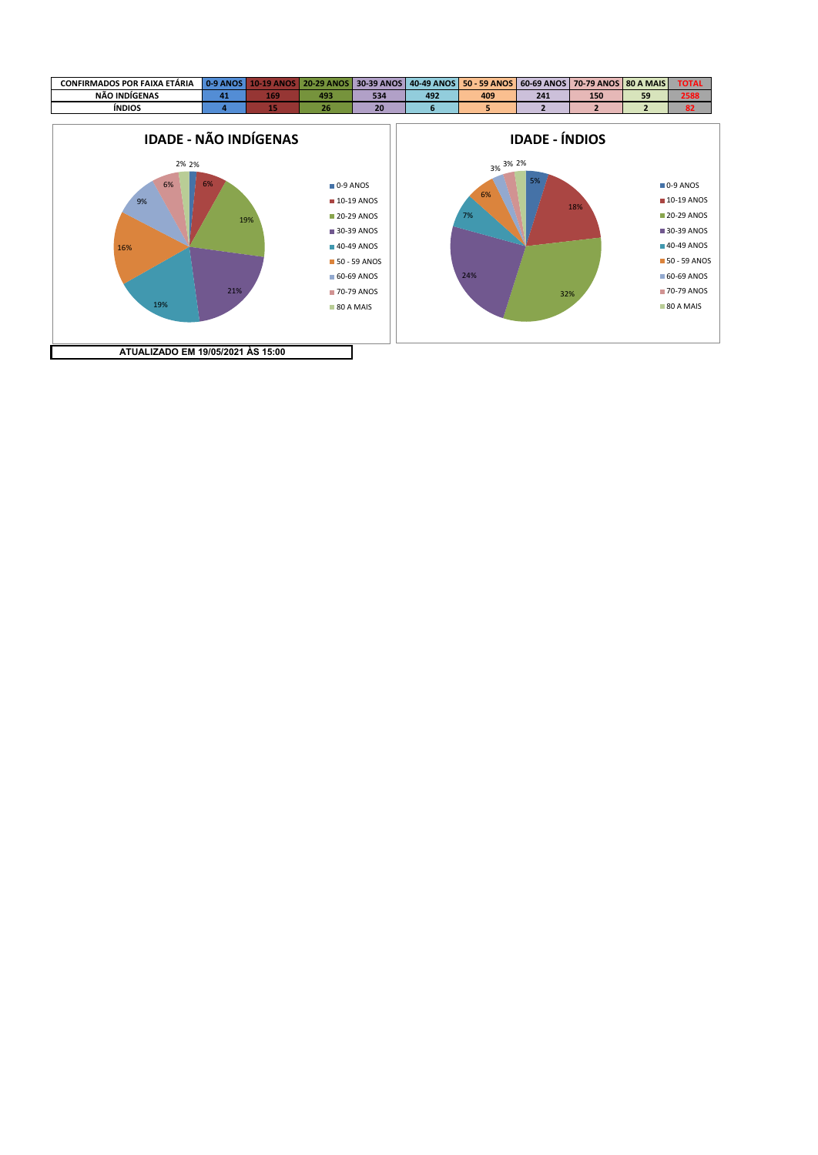

■ 0-9 ANOS **10-19 ANOS 20-29 ANOS** 30-39 ANOS **40-49 ANOS 50 - 59 ANOS** 60-69 ANOS **70-79 ANOS** 80 A MAIS

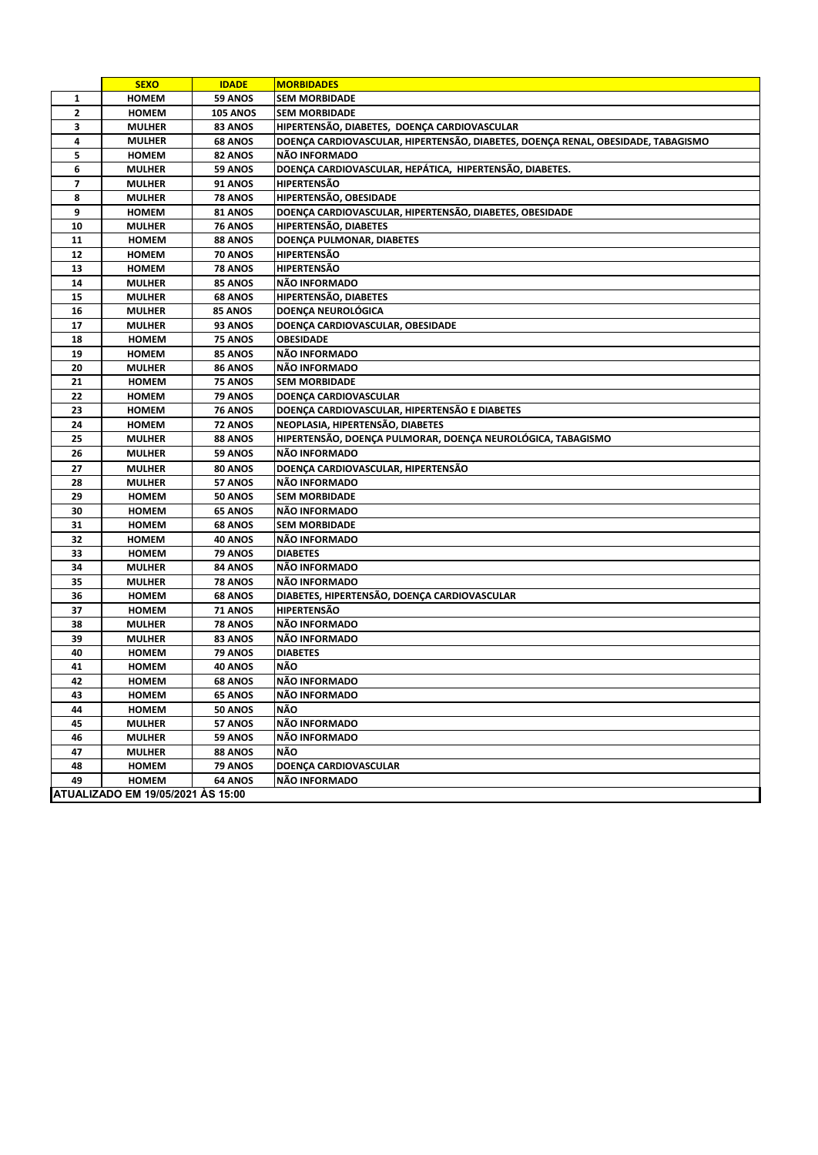|                | <b>SEXO</b>                       | <b>IDADE</b>    | <b>MORBIDADES</b>                                                                |
|----------------|-----------------------------------|-----------------|----------------------------------------------------------------------------------|
| 1              | <b>HOMEM</b>                      | 59 ANOS         | <b>SEM MORBIDADE</b>                                                             |
| $\mathbf{2}$   | <b>HOMEM</b>                      | <b>105 ANOS</b> | <b>SEM MORBIDADE</b>                                                             |
| 3              | <b>MULHER</b>                     | 83 ANOS         | HIPERTENSÃO, DIABETES, DOENÇA CARDIOVASCULAR                                     |
| 4              | <b>MULHER</b>                     | <b>68 ANOS</b>  | DOENÇA CARDIOVASCULAR, HIPERTENSÃO, DIABETES, DOENÇA RENAL, OBESIDADE, TABAGISMO |
| 5              | <b>HOMEM</b>                      | 82 ANOS         | NÃO INFORMADO                                                                    |
| 6              | <b>MULHER</b>                     | 59 ANOS         | DOENÇA CARDIOVASCULAR, HEPÁTICA, HIPERTENSÃO, DIABETES.                          |
| $\overline{ }$ | <b>MULHER</b>                     | <b>91 ANOS</b>  | <b>HIPERTENSÃO</b>                                                               |
| 8              | <b>MULHER</b>                     | <b>78 ANOS</b>  | HIPERTENSÃO, OBESIDADE                                                           |
| 9              | <b>HOMEM</b>                      | 81 ANOS         | DOENÇA CARDIOVASCULAR, HIPERTENSÃO, DIABETES, OBESIDADE                          |
| 10             | <b>MULHER</b>                     | 76 ANOS         | HIPERTENSÃO, DIABETES                                                            |
| 11             | <b>HOMEM</b>                      | 88 ANOS         | DOENÇA PULMONAR, DIABETES                                                        |
| 12             | <b>HOMEM</b>                      | 70 ANOS         | <b>HIPERTENSÃO</b>                                                               |
| 13             | <b>HOMEM</b>                      | <b>78 ANOS</b>  | <b>HIPERTENSÃO</b>                                                               |
| 14             | <b>MULHER</b>                     | 85 ANOS         | NÃO INFORMADO                                                                    |
| 15             | <b>MULHER</b>                     | <b>68 ANOS</b>  | HIPERTENSÃO, DIABETES                                                            |
| 16             | <b>MULHER</b>                     | <b>85 ANOS</b>  | DOENÇA NEUROLÓGICA                                                               |
| 17             | <b>MULHER</b>                     | 93 ANOS         | DOENÇA CARDIOVASCULAR, OBESIDADE                                                 |
| 18             | <b>HOMEM</b>                      | 75 ANOS         | <b>OBESIDADE</b>                                                                 |
| 19             | <b>HOMEM</b>                      | 85 ANOS         | NÃO INFORMADO                                                                    |
| 20             | <b>MULHER</b>                     | 86 ANOS         | NÃO INFORMADO                                                                    |
| 21             | <b>HOMEM</b>                      | <b>75 ANOS</b>  | <b>SEM MORBIDADE</b>                                                             |
| 22             | <b>HOMEM</b>                      | 79 ANOS         | DOENÇA CARDIOVASCULAR                                                            |
| 23             | <b>HOMEM</b>                      | <b>76 ANOS</b>  | DOENÇA CARDIOVASCULAR, HIPERTENSÃO E DIABETES                                    |
| 24             | <b>HOMEM</b>                      | 72 ANOS         | NEOPLASIA, HIPERTENSÃO, DIABETES                                                 |
| 25             | <b>MULHER</b>                     | 88 ANOS         | HIPERTENSÃO, DOENÇA PULMORAR, DOENÇA NEUROLÓGICA, TABAGISMO                      |
| 26             | <b>MULHER</b>                     | 59 ANOS         | NÃO INFORMADO                                                                    |
| 27             | <b>MULHER</b>                     | 80 ANOS         | DOENÇA CARDIOVASCULAR, HIPERTENSÃO                                               |
| 28             | <b>MULHER</b>                     | 57 ANOS         | NÃO INFORMADO                                                                    |
| 29             | <b>HOMEM</b>                      | <b>50 ANOS</b>  | <b>SEM MORBIDADE</b>                                                             |
| 30             | <b>HOMEM</b>                      | <b>65 ANOS</b>  | NÃO INFORMADO                                                                    |
| 31             | <b>HOMEM</b>                      | <b>68 ANOS</b>  | <b>SEM MORBIDADE</b>                                                             |
| 32             | <b>HOMEM</b>                      | 40 ANOS         | NÃO INFORMADO                                                                    |
| 33             | <b>HOMEM</b>                      | 79 ANOS         | <b>DIABETES</b>                                                                  |
| 34             | <b>MULHER</b>                     | 84 ANOS         | NÃO INFORMADO                                                                    |
| 35             | <b>MULHER</b>                     | <b>78 ANOS</b>  | NÃO INFORMADO                                                                    |
| 36             | <b>HOMEM</b>                      | <b>68 ANOS</b>  | DIABETES, HIPERTENSÃO, DOENÇA CARDIOVASCULAR                                     |
| 37             | <b>HOMEM</b>                      | <b>71 ANOS</b>  | <b>HIPERTENSÃO</b>                                                               |
| 38             | <b>MULHER</b>                     | <b>78 ANOS</b>  | NÃO INFORMADO                                                                    |
| 39             | <b>MULHER</b>                     | 83 ANOS         | NÃO INFORMADO                                                                    |
| 40             | <b>HOMEM</b>                      | 79 ANOS         | <b>DIABETES</b>                                                                  |
| 41             | <b>HOMEM</b>                      | <b>40 ANOS</b>  | NÃO                                                                              |
| 42             | <b>HOMEM</b>                      | 68 ANOS         | NÃO INFORMADO                                                                    |
| 43             | <b>HOMEM</b>                      | <b>65 ANOS</b>  | <b>NAO INFORMADO</b>                                                             |
| 44             | <b>HOMEM</b>                      | <b>50 ANOS</b>  | <b>NÃO</b>                                                                       |
| 45             | <b>MULHER</b>                     | 57 ANOS         | NÃO INFORMADO                                                                    |
| 46             | <b>MULHER</b>                     | 59 ANOS         | NÃO INFORMADO                                                                    |
| 47             | <b>MULHER</b>                     | 88 ANOS         | <b>NÃO</b>                                                                       |
| 48             | <b>HOMEM</b>                      | 79 ANOS         | DOENÇA CARDIOVASCULAR                                                            |
| 49             | <b>HOMEM</b>                      | <b>64 ANOS</b>  | NÃO INFORMADO                                                                    |
|                | ATUALIZADO EM 19/05/2021 ÀS 15:00 |                 |                                                                                  |